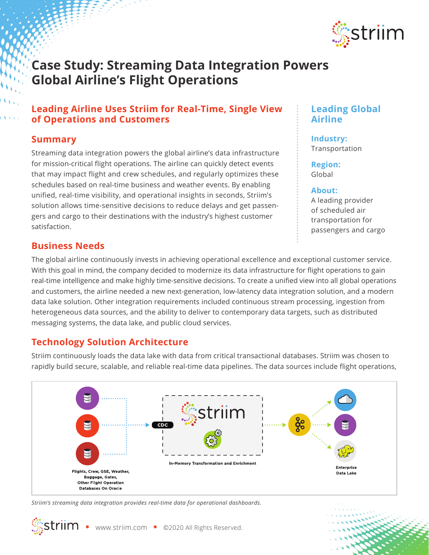

# **Case Study: Streaming Data Integration Powers Global Airline's Flight Operations**

# **Leading Airline Uses Striim for Real-Time, Single View of Operations and Customers**

## **Summary**

Streaming data integration powers the global airline's data infrastructure for mission-critical flight operations. The airline can quickly detect events that may impact flight and crew schedules, and regularly optimizes these schedules based on real-time business and weather events. By enabling unified, real-time visibility, and operational insights in seconds, Striim's solution allows time-sensitive decisions to reduce delays and get passengers and cargo to their destinations with the industry's highest customer satisfaction.

## **Business Needs**

The global airline continuously invests in achieving operational excellence and exceptional customer service. With this goal in mind, the company decided to modernize its data infrastructure for flight operations to gain real-time intelligence and make highly time-sensitive decisions. To create a unified view into all global operations and customers, the airline needed a new next-generation, low-latency data integration solution, and a modern data lake solution. Other integration requirements included continuous stream processing, ingestion from heterogeneous data sources, and the ability to deliver to contemporary data targets, such as distributed messaging systems, the data lake, and public cloud services.

# **Technology Solution Architecture**

Striim continuously loads the data lake with data from critical transactional databases. Striim was chosen to rapidly build secure, scalable, and reliable real-time data pipelines. The data sources include flight operations,



*Striim's streaming data integration provides real-time data for operational dashboards.*

# **Leading Global Airline**

**Industry:**  Transportation

**Region:** Global

#### **About:**

A leading provider of scheduled air transportation for passengers and cargo